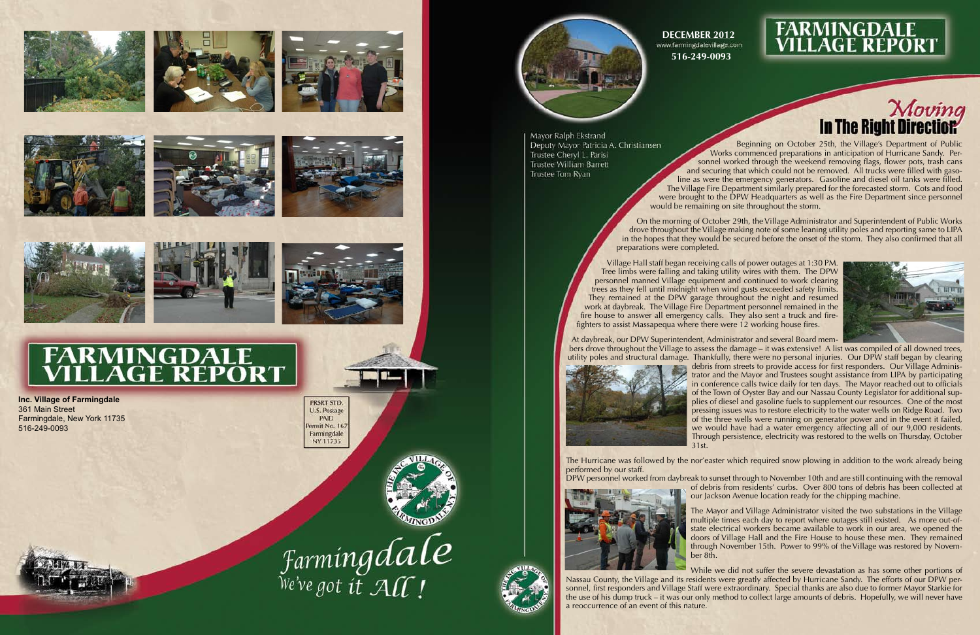

















## **FARMINGDALE<br>VILLAGE REPORT**

Beginning on October 25th, the Village's Department of Public Works commenced preparations in anticipation of Hurricane Sandy. Personnel worked through the weekend removing flags, flower pots, trash cans and securing that which could not be removed. All trucks were filled with gaso line as were the emergency generators. Gasoline and diesel oil tanks were filled. The Village Fire Department similarly prepared for the forecasted storm. Cots and food were brought to the DPW Headquarters as well as the Fire Department since personnel would be remaining on site throughout the storm.

On the morning of October 29th, the Village Administrator and Superintendent of Public Works drove throughout the Village making note of some leaning utility poles and reporting same to LIPA in the hopes that they would be secured before the onset of the storm. They also confirmed that all preparations were completed.

Village Hall staff began receiving calls of power outages at 1:30 PM. Tree limbs were falling and taking utility wires with them. The DPW personnel manned Village equipment and continued to work clearing trees as they fell until midnight when wind gusts exceeded safety limits. They remained at the DPW garage throughout the night and resumed work at daybreak. The Village Fire Department personnel remained in the fire house to answer all emergency calls. They also sent a truck and fire fighters to assist Massapequa where there were 12 working house fires.

At daybreak, our DPW Superintendent, Administrator and several Board mem bers drove throughout the Village to assess the damage – it was extensive! A list was compiled of all downed trees, utility poles and structural damage. Thankfully, there were no personal injuries. Our DPW staff began by clearing debris from streets to provide access for first responders. Our Village Adminis trator and the Mayor and Trustees sought assistance from LIPA by participating in conference calls twice daily for ten days. The Mayor reached out to officials of the Town of Oyster Bay and our Nassau County Legislator for additional sup plies of diesel and gasoline fuels to supplement our resources. One of the most pressing issues was to restore electricity to the water wells on Ridge Road. Two of the three wells were running on generator power and in the event it failed, we would have had a water emergency affecting all of our 9,000 residents. Through persistence, electricity was restored to the wells on Thursday, October



31st.

The Hurricane was followed by the nor'easter which required snow plowing in addition to the work already being performed by our staff.

DPW personnel worked from daybreak to sunset through to November 10th and are still continuing with the removal of debris from residents' curbs. Over 800 tons of debris has been collected at our Jackson Avenue location ready for the chipping machine.



The Mayor and Village Administrator visited the two substations in the Village multiple times each day to report where outages still existed. As more out-ofstate electrical workers became available to work in our area, we opened the doors of Village Hall and the Fire House to house these men. They remained through November 15th. Power to 99% of the Village was restored by Novem ber 8th.

While we did not suffer the severe devastation as has some other portions of Nassau County, the Village and its residents were greatly affected by Hurricane Sandy. The efforts of our DPW per sonnel, first responders and Village Staff were extraordinary. Special thanks are also due to former Mayor Starkie for the use of his dump truck – it was our only method to collect large amounts of debris. Hopefully, we will never have a reoccurrence of an event of this nature.





**Inc. Village of Farmingdale** 361 Main Street Farmingdale, New York 11735 516-249-0093

PRSRT STD. U.S. Postage PAID ermit No. 167 Farmingdale NY 11735





Mayor Ralph Ekstrand Deputy Mayor Patricia A. Christiansen Trustee Cheryl L. Parisi Trustee William Barrett Trustee Tom Ryan

**DECEMBER 2012** www.farmingdalevillage.com **516-249-0093**

## **FARMINGDALE<br>VILLAGE REPORT**